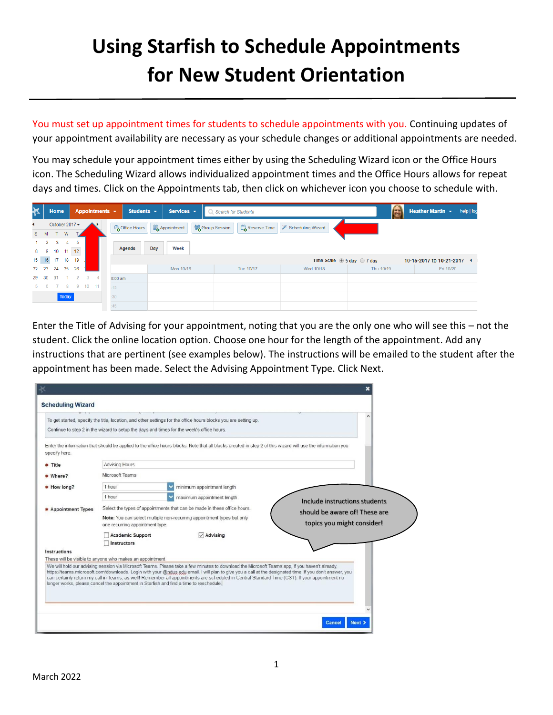# **Using Starfish to Schedule Appointments for New Student Orientation**

You must set up appointment times for students to schedule appointments with you. Continuing updates of your appointment availability are necessary as your schedule changes or additional appointments are needed.

You may schedule your appointment times either by using the Scheduling Wizard icon or the Office Hours icon. The Scheduling Wizard allows individualized appointment times and the Office Hours allows for repeat days and times. Click on the Appointments tab, then click on whichever icon you choose to schedule with.

| 长           |   | Home            |               |                     | Appointments - |                | Students $\sim$ | Services -  | Search for Students         |                             |                   |                                                      | £         | Heather Martin ~           | help   log |
|-------------|---|-----------------|---------------|---------------------|----------------|----------------|-----------------|-------------|-----------------------------|-----------------------------|-------------------|------------------------------------------------------|-----------|----------------------------|------------|
|             |   | October 2017 -  |               |                     |                |                | Coffice Hours   | Appointment | <sup>22</sup> Group Session | $\mathbb{C}^n$ Reserve Time | Scheduling Wizard |                                                      |           |                            |            |
| S.          | M | T W             |               |                     |                |                |                 |             |                             |                             |                   |                                                      |           |                            |            |
|             |   | 3               | 4             | -5                  |                |                |                 |             |                             |                             |                   |                                                      |           |                            |            |
| $8 \quad 9$ |   | 10 <sub>1</sub> | $11 \quad 12$ |                     |                |                | Agenda          | Day<br>Week |                             |                             |                   |                                                      |           |                            |            |
| $15 - 16$   |   | 17              | 18            | 19                  |                |                |                 |             |                             |                             |                   | Time Scale $\circledcirc$ 5 day $\circledcirc$ 7 day |           | 10-15-2017 to 10-21-2017 4 |            |
| 22 23       |   | 24              | 25            | 26                  |                |                |                 | Mon 10/16   | Tue 10/17                   |                             | Wed 10/18         |                                                      | Thu 10/19 | Fri 10/20                  |            |
| 29 30       |   | 31              |               | $1 \quad 2 \quad 3$ |                | $\overline{4}$ | 8:00 am         |             |                             |                             |                   |                                                      |           |                            |            |
|             |   |                 |               | 7 8 9 10 11         |                |                | :15             |             |                             |                             |                   |                                                      |           |                            |            |
|             |   |                 | Today         |                     |                |                | :30             |             |                             |                             |                   |                                                      |           |                            |            |
|             |   |                 |               |                     |                |                | :45             |             |                             |                             |                   |                                                      |           |                            |            |

Enter the Title of Advising for your appointment, noting that you are the only one who will see this – not the student. Click the online location option. Choose one hour for the length of the appointment. Add any instructions that are pertinent (see examples below). The instructions will be emailed to the student after the appointment has been made. Select the Advising Appointment Type. Click Next.

| <b>Scheduling Wizard</b> |                                                                                                                                                                                                                                                                                                                                                                                                                                                                                                                                                      |                               |  |
|--------------------------|------------------------------------------------------------------------------------------------------------------------------------------------------------------------------------------------------------------------------------------------------------------------------------------------------------------------------------------------------------------------------------------------------------------------------------------------------------------------------------------------------------------------------------------------------|-------------------------------|--|
|                          | To get started, specify the title, location, and other settings for the office hours blocks you are setting up.<br>Continue to step 2 in the wizard to setup the days and times for the week's office hours.                                                                                                                                                                                                                                                                                                                                         |                               |  |
| specify here.            | Enter the information that should be applied to the office hours blocks. Note that all blocks created in step 2 of this wizard will use the information you                                                                                                                                                                                                                                                                                                                                                                                          |                               |  |
| * Title                  | <b>Advising Hours</b>                                                                                                                                                                                                                                                                                                                                                                                                                                                                                                                                |                               |  |
| * Where?                 | Microsoft Teams                                                                                                                                                                                                                                                                                                                                                                                                                                                                                                                                      |                               |  |
| * How long?              | 1 hour<br>minimum appointment length                                                                                                                                                                                                                                                                                                                                                                                                                                                                                                                 |                               |  |
|                          | 1 hour<br>maximum appointment length                                                                                                                                                                                                                                                                                                                                                                                                                                                                                                                 |                               |  |
| * Appointment Types      | Select the types of appointments that can be made in these office hours.                                                                                                                                                                                                                                                                                                                                                                                                                                                                             | Include instructions students |  |
|                          | Note: You can select multiple non-recurring appointment types but only                                                                                                                                                                                                                                                                                                                                                                                                                                                                               | should be aware of! These are |  |
|                          | one recurring appointment type.                                                                                                                                                                                                                                                                                                                                                                                                                                                                                                                      | topics you might consider!    |  |
|                          | <b>Academic Support</b><br>$\sqrt{}$ Advising                                                                                                                                                                                                                                                                                                                                                                                                                                                                                                        |                               |  |
|                          | Instructors                                                                                                                                                                                                                                                                                                                                                                                                                                                                                                                                          |                               |  |
| Instructions             |                                                                                                                                                                                                                                                                                                                                                                                                                                                                                                                                                      |                               |  |
|                          | These will be visible to anyone who makes an appointment                                                                                                                                                                                                                                                                                                                                                                                                                                                                                             |                               |  |
|                          | We will hold our advising session via Microsoft Teams. Please take a few minutes to download the Microsoft Teams app, if you haven't already.<br>https://teams.microsoft.com/downloads. Login with your @ndus.edu email. I will plan to give you a call at the designated time. If you don't answer, you<br>can certainly return my call in Teams, as well! Remember all appointments are scheduled in Central Standard Time (CST). If your appointment no<br>longer works, please cancel the appointment in Starfish and find a time to reschedule. |                               |  |
|                          |                                                                                                                                                                                                                                                                                                                                                                                                                                                                                                                                                      |                               |  |
|                          |                                                                                                                                                                                                                                                                                                                                                                                                                                                                                                                                                      | Next ><br>Cancel              |  |
|                          |                                                                                                                                                                                                                                                                                                                                                                                                                                                                                                                                                      |                               |  |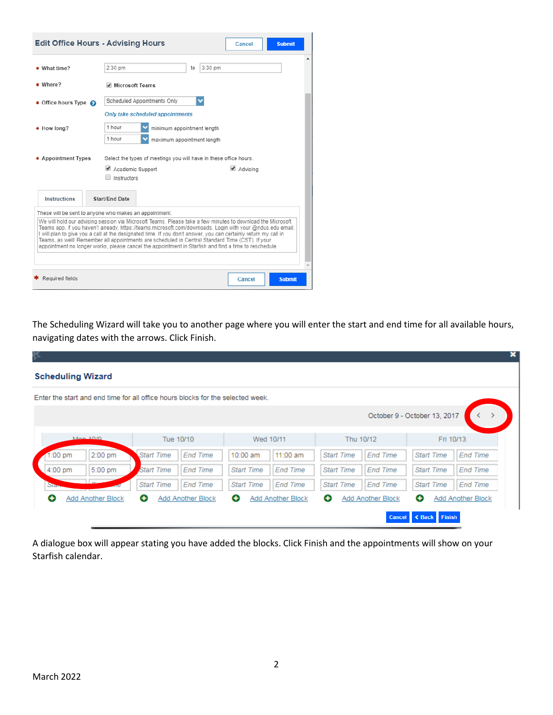| <b>Edit Office Hours - Advising Hours</b> | <b>Submit</b><br>Cancel                                                                                                                                                                                                                                                                                                                                                                                                                                                                                                                                                                                           |  |
|-------------------------------------------|-------------------------------------------------------------------------------------------------------------------------------------------------------------------------------------------------------------------------------------------------------------------------------------------------------------------------------------------------------------------------------------------------------------------------------------------------------------------------------------------------------------------------------------------------------------------------------------------------------------------|--|
| * What time?                              | 2:30 pm<br>3:30 pm<br>to                                                                                                                                                                                                                                                                                                                                                                                                                                                                                                                                                                                          |  |
| * Where?                                  | √ Microsoft Teams                                                                                                                                                                                                                                                                                                                                                                                                                                                                                                                                                                                                 |  |
| <b>★ Office hours Type</b> 2              | Scheduled Appointments Only                                                                                                                                                                                                                                                                                                                                                                                                                                                                                                                                                                                       |  |
| * How long?                               | Only take scheduled appointments<br>1 hour<br>minimum appointment length<br>1 hour<br>maximum appointment length                                                                                                                                                                                                                                                                                                                                                                                                                                                                                                  |  |
| * Appointment Types                       | Select the types of meetings you will have in these office hours.<br>Academic Support<br>▲ Advising<br>Instructors                                                                                                                                                                                                                                                                                                                                                                                                                                                                                                |  |
| <b>Instructions</b>                       | Start/End Date                                                                                                                                                                                                                                                                                                                                                                                                                                                                                                                                                                                                    |  |
|                                           | These will be sent to anyone who makes an appointment.<br>We will hold our advising session via Microsoft Teams. Please take a few minutes to download the Microsoft<br>Teams app, if you haven't already, https://teams.microsoft.com/downloads, Login with your @ndus.edu email.<br>I will plan to give you a call at the designated time. If you don't answer, you can certainly return my call in<br>Teams, as well! Remember all appointments are scheduled in Central Standard Time (CST). If your<br>appointment no longer works, please cancel the appointment in Starfish and find a time to reschedule. |  |
| Required fields                           | Cancel<br><b>Submit</b>                                                                                                                                                                                                                                                                                                                                                                                                                                                                                                                                                                                           |  |

The Scheduling Wizard will take you to another page where you will enter the start and end time for all available hours, navigating dates with the arrows. Click Finish.

| ę. |         |                                                                                 |                   |                   |                   |                   |                   |                   |                                      | ×                 |
|----|---------|---------------------------------------------------------------------------------|-------------------|-------------------|-------------------|-------------------|-------------------|-------------------|--------------------------------------|-------------------|
|    |         | <b>Scheduling Wizard</b>                                                        |                   |                   |                   |                   |                   |                   |                                      |                   |
|    |         | Enter the start and end time for all office hours blocks for the selected week. |                   |                   |                   |                   |                   |                   |                                      |                   |
|    |         |                                                                                 |                   |                   |                   |                   |                   |                   | October 9 - October 13, 2017         |                   |
|    |         | Max.40/0                                                                        |                   | Tue 10/10         | Wed 10/11         |                   | Thu 10/12         |                   | Fri 10/13                            |                   |
|    | :00 pm  | 2:00 pm                                                                         | <b>Start Time</b> | <b>End Time</b>   | 10:00 am          | 11:00 am          | <b>Start Time</b> | <b>End Time</b>   | <b>Start Time</b>                    | <b>End Time</b>   |
|    | 4:00 pm | 5:00 pm                                                                         | <b>Start Time</b> | <b>End Time</b>   | <b>Start Time</b> | <b>End Time</b>   | <b>Start Time</b> | <b>End Time</b>   | <b>Start Time</b>                    | <b>End Time</b>   |
|    | Stan.   |                                                                                 | <b>Start Time</b> | <b>End Time</b>   | <b>Start Time</b> | <b>End Time</b>   | <b>Start Time</b> | <b>End Time</b>   | <b>Start Time</b>                    | <b>End Time</b>   |
| o  |         | Add Another Block                                                               | Ð                 | Add Another Block | o                 | Add Another Block | Θ                 | Add Another Block | o                                    | Add Another Block |
|    |         |                                                                                 |                   |                   |                   |                   |                   | <b>Cancel</b>     | <b><back b="" finish<=""></back></b> |                   |

A dialogue box will appear stating you have added the blocks. Click Finish and the appointments will show on your Starfish calendar.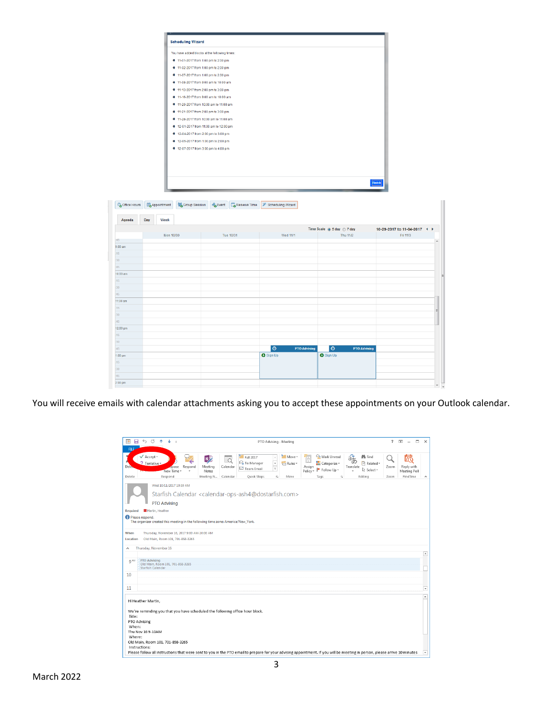|                   | <b>Scheduling Wizard</b>                   |                                               |                                |                            |                              |                     |
|-------------------|--------------------------------------------|-----------------------------------------------|--------------------------------|----------------------------|------------------------------|---------------------|
|                   |                                            | You have added blocks at the following times: |                                |                            |                              |                     |
|                   |                                            | ● 11-01-2017 from 1:00 pm to 2:00 pm          |                                |                            |                              |                     |
|                   |                                            | ● 11-02-2017 from 1:00 pm to 2:00 pm          |                                |                            |                              |                     |
|                   |                                            | ● 11-07-2017 from 1:00 pm to 2:00 pm          |                                |                            |                              |                     |
|                   |                                            | 11-08-2017 from 9:00 am to 10:00 am           |                                |                            |                              |                     |
|                   |                                            | ● 11-13-2017 from 2:00 pm to 3:00 pm          |                                |                            |                              |                     |
|                   |                                            | ● 11-16-2017 from 9:00 am to 10:00 am         |                                |                            |                              |                     |
|                   |                                            | 11-20-2017 from 10:00 am to 11:00 am          |                                |                            |                              |                     |
|                   |                                            | 11-21-2017 from 2:00 pm to 3:00 pm            |                                |                            |                              |                     |
|                   |                                            | 11-28-2017 from 10:00 am to 11:00 am          |                                |                            |                              |                     |
|                   |                                            | ● 12-01-2017 from 11:00 am to 12:00 pm        |                                |                            |                              |                     |
|                   |                                            | ● 12-04-2017 from 2:00 pm to 3:00 pm          |                                |                            |                              |                     |
|                   |                                            | ● 12-05-2017 from 1:00 pm to 2:00 pm          |                                |                            |                              |                     |
|                   |                                            | ● 12-07-2017 from 3:00 pm to 4:00 pm          |                                |                            |                              |                     |
|                   |                                            |                                               |                                |                            |                              |                     |
|                   |                                            |                                               |                                |                            |                              |                     |
|                   |                                            |                                               |                                |                            |                              |                     |
|                   |                                            |                                               |                                |                            |                              |                     |
|                   |                                            |                                               |                                |                            | Finish                       |                     |
|                   |                                            |                                               |                                |                            |                              |                     |
|                   |                                            |                                               |                                |                            |                              |                     |
| Coffice Hours     | <sup>18</sup> Group Session<br>Appointment | <b>Event</b><br>Reserve Time                  | > Scheduling Wizard            |                            |                              |                     |
|                   |                                            |                                               |                                |                            |                              |                     |
|                   |                                            |                                               |                                |                            |                              |                     |
| Agenda            | Day<br>Week                                |                                               |                                |                            |                              |                     |
|                   |                                            |                                               |                                | Time Scale @ 5 day @ 7 day | 10-29-2017 to 11-04-2017 4 ▶ |                     |
|                   | Mon 10/30                                  | Tue 10/31                                     | Wed 11/1                       | Thu 11/2                   | Fri 11/3                     |                     |
| 45                |                                            |                                               |                                |                            |                              | $\hat{\phantom{a}}$ |
| $9:00 \text{ am}$ |                                            |                                               |                                |                            |                              |                     |
| 15                |                                            |                                               |                                |                            |                              |                     |
| 30<br>45          |                                            |                                               |                                |                            |                              |                     |
| 10:00 am          |                                            |                                               |                                |                            |                              |                     |
| 15                |                                            |                                               |                                |                            |                              |                     |
| 30 <sup>°</sup>   |                                            |                                               |                                |                            |                              |                     |
| :45               |                                            |                                               |                                |                            |                              |                     |
| $11:00$ am        |                                            |                                               |                                |                            |                              |                     |
| 15                |                                            |                                               |                                |                            |                              |                     |
| 30                |                                            |                                               |                                |                            |                              | $\equiv$            |
| 145               |                                            |                                               |                                |                            |                              |                     |
| 12:00 pm          |                                            |                                               |                                |                            |                              |                     |
| 15                |                                            |                                               |                                |                            |                              |                     |
| 30                |                                            |                                               |                                |                            |                              |                     |
| 45                |                                            |                                               | $\circ$<br><b>PTO Advising</b> | 0<br><b>PTO Advising</b>   |                              |                     |
| $1:00$ pm         |                                            |                                               | <b>O</b> Sign Up               | $\bigcirc$ Sign Up         |                              |                     |
| $-15$             |                                            |                                               |                                |                            |                              |                     |
| 30                |                                            |                                               |                                |                            |                              |                     |
| $-45$             |                                            |                                               |                                |                            |                              |                     |
| $2:00$ pm         |                                            |                                               |                                |                            |                              | ÷                   |

You will receive emails with calendar attachments asking you to accept these appointments on your Outlook calendar.

 $\overline{\phantom{a}}$ 

| <b>FILE</b>           |                                                                                     |              |                                    |                |                                                                                         |               | PTO Advising - Meeting     |                         |                                                                          |                 |                                        | $\overline{2}$ | ार<br>$\overline{\phantom{m}}$  | п<br>$\times$            |
|-----------------------|-------------------------------------------------------------------------------------|--------------|------------------------------------|----------------|-----------------------------------------------------------------------------------------|---------------|----------------------------|-------------------------|--------------------------------------------------------------------------|-----------------|----------------------------------------|----------------|---------------------------------|--------------------------|
| <b>Delet</b>          | $\checkmark$ Accept $\checkmark$<br>? Tentative<br>opose<br>New Time *              | ٤<br>Respond | N <sub>2</sub><br>Meeting<br>Notes | Ec<br>Calendar | $F$ all 2017<br><sup>2</sup> To Manager<br>Team Email                                   | $\frac{4}{3}$ | $Move =$<br><b>Rules</b> * | 461<br>$\Box$<br>Assign | <b>Co</b> Mark Unread<br><b>H</b> Categorize ~<br>Policy - P Follow Up - | a-<br>Translate | <b>普</b> Find<br>Related<br>R Select + | Zoom           | 的<br>Reply with<br>Meeting Poll |                          |
| Delete                | Respond                                                                             |              | Meeting N                          | Calendar       | Quick Steps                                                                             | G.            | Move                       |                         | Tags<br>G.                                                               |                 | Editing                                | Zoom           | FindTime                        | ۸                        |
|                       | Wed 10/11/2017 10:59 AM<br><b>PTO Advising</b>                                      |              |                                    |                | Starfish Calendar <calendar-ops-ash4@dostarfish.com></calendar-ops-ash4@dostarfish.com> |               |                            |                         |                                                                          |                 |                                        |                |                                 |                          |
| <b>Required</b>       | Martin, Heather                                                                     |              |                                    |                |                                                                                         |               |                            |                         |                                                                          |                 |                                        |                |                                 |                          |
| Please respond.       | The organizer created this meeting in the following time zone: America/New_York.    |              |                                    |                |                                                                                         |               |                            |                         |                                                                          |                 |                                        |                |                                 |                          |
| When<br>Location      | Thursday, November 16, 2017 9:00 AM-10:00 AM<br>Old Main, Room 101, 701-858-3265    |              |                                    |                |                                                                                         |               |                            |                         |                                                                          |                 |                                        |                |                                 |                          |
|                       |                                                                                     |              |                                    |                |                                                                                         |               |                            |                         |                                                                          |                 |                                        |                |                                 |                          |
| ۸                     | Thursday, November 16                                                               |              |                                    |                |                                                                                         |               |                            |                         |                                                                          |                 |                                        |                |                                 | E                        |
| q AM                  | <b>PTO Advising</b><br>Old Main, Room 101, 701-858-3265<br><b>Starfish Calendar</b> |              |                                    |                |                                                                                         |               |                            |                         |                                                                          |                 |                                        |                |                                 |                          |
| 10                    |                                                                                     |              |                                    |                |                                                                                         |               |                            |                         |                                                                          |                 |                                        |                |                                 |                          |
| 11                    |                                                                                     |              |                                    |                |                                                                                         |               |                            |                         |                                                                          |                 |                                        |                |                                 | ٠                        |
|                       |                                                                                     |              |                                    |                |                                                                                         |               |                            |                         |                                                                          |                 |                                        |                |                                 | $\overline{\phantom{a}}$ |
|                       | Hi Heather Martin,                                                                  |              |                                    |                |                                                                                         |               |                            |                         |                                                                          |                 |                                        |                |                                 |                          |
|                       | We're reminding you that you have scheduled the following office hour block.        |              |                                    |                |                                                                                         |               |                            |                         |                                                                          |                 |                                        |                |                                 |                          |
| Title:                |                                                                                     |              |                                    |                |                                                                                         |               |                            |                         |                                                                          |                 |                                        |                |                                 |                          |
| PTO Advising<br>When: |                                                                                     |              |                                    |                |                                                                                         |               |                            |                         |                                                                          |                 |                                        |                |                                 |                          |
|                       | Thu Nov 16 9-10AM                                                                   |              |                                    |                |                                                                                         |               |                            |                         |                                                                          |                 |                                        |                |                                 |                          |
| Where:                |                                                                                     |              |                                    |                |                                                                                         |               |                            |                         |                                                                          |                 |                                        |                |                                 |                          |
|                       | Old Main, Room 101, 701-858-3265                                                    |              |                                    |                |                                                                                         |               |                            |                         |                                                                          |                 |                                        |                |                                 |                          |
| Instructions:         |                                                                                     |              |                                    |                |                                                                                         |               |                            |                         |                                                                          |                 |                                        |                |                                 |                          |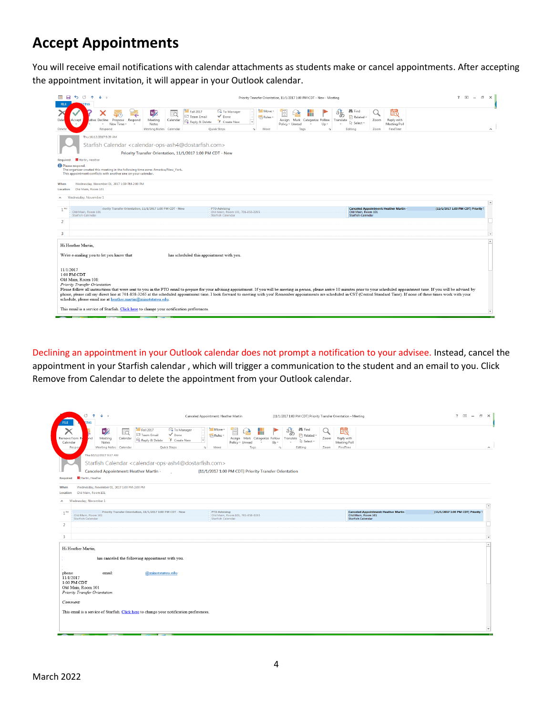### **Accept Appointments**

You will receive email notifications with calendar attachments as students make or cancel appointments. After accepting the appointment invitation, it will appear in your Outlook calendar.

| н                       | <b>SG</b><br>$\hat{\mathbf{r}}$<br>ت باب                                                                                                                                                                                                                                                                                                                                                                                                                                                                                                                                                                 |                                                                                                 |                                                                                                                       |                                                                                                      | Priority Transfer Orientation, 11/1/2017 1:00 PM CDT - New - Meeting |                                         |                                                                                                 |                                             | $? \quad \Box \quad -$<br>$\Box$<br>$\times$ |
|-------------------------|----------------------------------------------------------------------------------------------------------------------------------------------------------------------------------------------------------------------------------------------------------------------------------------------------------------------------------------------------------------------------------------------------------------------------------------------------------------------------------------------------------------------------------------------------------------------------------------------------------|-------------------------------------------------------------------------------------------------|-----------------------------------------------------------------------------------------------------------------------|------------------------------------------------------------------------------------------------------|----------------------------------------------------------------------|-----------------------------------------|-------------------------------------------------------------------------------------------------|---------------------------------------------|----------------------------------------------|
| Dele<br>Delete          | Respond<br>Accept<br>tative Decline<br>Propose<br>New Time:<br>Respond                                                                                                                                                                                                                                                                                                                                                                                                                                                                                                                                   | $\overline{\Omega}$<br>N <sub>2</sub><br>Meeting<br>Calendar<br>Notes<br>Meeting Notes Calendar | Fall 2017<br><sup>2</sup> To Manager<br>$\sqrt{}$ Done<br>Team Email<br>Reply & Delete<br>F Create New<br>Quick Steps | Move<br>$\rightarrow$<br><sub>TEP</sub> Rules -<br>F<br>$\overline{\mathsf{F}_\mathsf{M}}$ .<br>Move | Mark Categorize Follow<br>Assign<br>Policy * Unread<br>Tags          | $a_{\phi}$<br>Translate<br>$Up -$<br>D. | <b>A</b> <sup>6</sup> Find<br>Related *<br>Zoom<br>R Select -<br>Editing<br>Zoom                | 崗<br>Reply with<br>Meeting Poll<br>FindTime | $\hat{\phantom{a}}$                          |
| Required                | Thu 10/12/2017 9:20 AM<br>Starfish Calendar <calendar-ops-ash4@dostarfish.com><br/><b>88</b> Martin, Heather<br/>Please respond.</calendar-ops-ash4@dostarfish.com>                                                                                                                                                                                                                                                                                                                                                                                                                                      |                                                                                                 | Priority Transfer Orientation, 11/1/2017 1:00 PM CDT - New                                                            |                                                                                                      |                                                                      |                                         |                                                                                                 |                                             |                                              |
| When                    | The organizer created this meeting in the following time zone: America/New_York.<br>This appointment conflicts with another one on your calendar.<br>Wednesday, November 01, 2017 1:00 PM-2:00 PM                                                                                                                                                                                                                                                                                                                                                                                                        |                                                                                                 |                                                                                                                       |                                                                                                      |                                                                      |                                         |                                                                                                 |                                             |                                              |
| Location                | Old Main, Room 101                                                                                                                                                                                                                                                                                                                                                                                                                                                                                                                                                                                       |                                                                                                 |                                                                                                                       |                                                                                                      |                                                                      |                                         |                                                                                                 |                                             |                                              |
| $\sim$                  | Wednesday, November 1                                                                                                                                                                                                                                                                                                                                                                                                                                                                                                                                                                                    |                                                                                                 |                                                                                                                       |                                                                                                      |                                                                      |                                         |                                                                                                 |                                             |                                              |
|                         |                                                                                                                                                                                                                                                                                                                                                                                                                                                                                                                                                                                                          |                                                                                                 |                                                                                                                       |                                                                                                      |                                                                      |                                         |                                                                                                 |                                             |                                              |
| 1 <sup>PM</sup>         | Old Main, Room 101<br><b>Starfish Calendar</b>                                                                                                                                                                                                                                                                                                                                                                                                                                                                                                                                                           | riority Transfer Orientation, 11/1/2017 1:00 PM CDT - New                                       | <b>PTO Advising</b><br>Old Main, Room 101, 701-858-3265<br><b>Starfish Calendar</b>                                   |                                                                                                      |                                                                      |                                         | <b>Canceled Appointment: Heather Martin -</b><br>Old Main, Room 101<br><b>Starfish Calendar</b> |                                             | $\Box$<br>[11/1/2017 1:00 PM CDT] Priority   |
| $\overline{2}$          |                                                                                                                                                                                                                                                                                                                                                                                                                                                                                                                                                                                                          |                                                                                                 |                                                                                                                       |                                                                                                      |                                                                      |                                         |                                                                                                 |                                             |                                              |
| $\overline{\mathbf{3}}$ |                                                                                                                                                                                                                                                                                                                                                                                                                                                                                                                                                                                                          |                                                                                                 |                                                                                                                       |                                                                                                      |                                                                      |                                         |                                                                                                 |                                             | $\overline{\phantom{a}}$                     |
|                         | Hi Heather Martin,<br>We're e-mailing you to let you know that                                                                                                                                                                                                                                                                                                                                                                                                                                                                                                                                           |                                                                                                 | has scheduled this appointment with you.                                                                              |                                                                                                      |                                                                      |                                         |                                                                                                 |                                             | $\overline{a}$                               |
| 11/1/2017               | $1:00$ PM CDT<br>Old Main, Room 101:<br>Priority Transfer Orientation<br>Please follow all instructions that were sent to you in the PTO email to prepare for your advising appointment. If you will be meeting in person, please arrive 10 minutes prior to your scheduled appointment time. If you wi<br>phone, please call my direct line at 701-858-3265 at the scheduled appointment time. I look forward to meeting with you! Remember appointments are scheduled in CST (Central Standard Time). If none of these times work with<br>schedule, please email me at heather.martin@minotstateu.edu. |                                                                                                 |                                                                                                                       |                                                                                                      |                                                                      |                                         |                                                                                                 |                                             |                                              |
|                         | This email is a service of Starfish. Click here to change your notification preferences.                                                                                                                                                                                                                                                                                                                                                                                                                                                                                                                 |                                                                                                 |                                                                                                                       |                                                                                                      |                                                                      |                                         |                                                                                                 |                                             | $\overline{\phantom{a}}$                     |

Declining an appointment in your Outlook calendar does not prompt a notification to your advisee. Instead, cancel the appointment in your Starfish calendar , which will trigger a communication to the student and an email to you. Click Remove from Calendar to delete the appointment from your Outlook calendar.

| <b>FILE</b>                    | G<br>$\hat{\mathbf{r}}$<br>$\downarrow$ =<br><b>TING</b>                                                                                                                                   | Canceled Appointment: Heather Martin                                                                                                                                                                                         | [11/1/2017 1:00 PM CDT] Priority Transfer Orientation - Meeting                                             |                                                                                                 | $? \times -$<br>$\sigma \times 1$  |
|--------------------------------|--------------------------------------------------------------------------------------------------------------------------------------------------------------------------------------------|------------------------------------------------------------------------------------------------------------------------------------------------------------------------------------------------------------------------------|-------------------------------------------------------------------------------------------------------------|-------------------------------------------------------------------------------------------------|------------------------------------|
| ↗<br>Remove from R<br>Calendar | Fall 2017<br>$\overline{\mathbb{Q}}$<br><b>N<sub>2</sub></b><br>Team Fmail<br>bnd<br>Meeting<br>Calendar<br>Reply & Delete<br>Notes<br>Meeting Notes Calendar<br>Respon                    | Move -<br><sup>2</sup> To Manager<br>Ē<br>m<br>$\sqrt{}$ Done<br>tel Rules *<br>Assign Mark Categorize Follow<br>F Create New<br>l o<br>Policy * Unread<br>$\mathbf{v}$<br>Quick Steps<br>$\Gamma_{\rm H}$ .<br>Tags<br>Move | <b>醋 Find</b><br>磍<br>Related -<br>Translate<br>Zoom<br>& Select *<br>$Up -$<br>÷<br>-59<br>Editing<br>Zoom | 閾<br>Reply with<br>Meeting Poll<br>FindTime                                                     | $\sim$                             |
| Required                       | Thu 10/12/2017 9:17 AM<br>Starfish Calendar <calendar-ops-ash4@dostarfish.com><br/>Canceled Appointment: Heather Martin -<br/><b>XX</b> Martin, Heather</calendar-ops-ash4@dostarfish.com> | [11/1/2017 1:00 PM CDT] Priority Transfer Orientation                                                                                                                                                                        |                                                                                                             |                                                                                                 |                                    |
| When<br>Location               | Wednesday, November 01, 2017 1:00 PM-2:00 PM<br>Old Main, Room 101                                                                                                                         |                                                                                                                                                                                                                              |                                                                                                             |                                                                                                 |                                    |
| $\sim$                         | Wednesday, November 1                                                                                                                                                                      |                                                                                                                                                                                                                              |                                                                                                             |                                                                                                 | $\sqrt{2}$                         |
| 1 <sup>PM</sup>                | Priority Transfer Orientation, 11/1/2017 1:00 PM CDT - New<br>Old Main, Room 101<br><b>Starfish Calendar</b>                                                                               | PTO Advising<br>Old Main, Room 101, 701-858-3265<br><b>Starfish Calendar</b>                                                                                                                                                 |                                                                                                             | <b>Canceled Appointment: Heather Martin -</b><br>Old Main, Room 101<br><b>Starfish Calendar</b> | [11/1/2017 1:00 PM CDT] Priority 1 |
| $\overline{2}$                 |                                                                                                                                                                                            |                                                                                                                                                                                                                              |                                                                                                             |                                                                                                 | L                                  |
| 3                              |                                                                                                                                                                                            |                                                                                                                                                                                                                              |                                                                                                             |                                                                                                 | $\blacktriangledown$               |
| phone<br>11/1/2017             | Hi Heather Martin,<br>has canceled the following appointment with you.<br>@minotstateu.edu<br>email:<br>1:00 PM CDT                                                                        |                                                                                                                                                                                                                              |                                                                                                             |                                                                                                 | $\overline{a}$                     |
| Comment:                       | Old Main, Room 101<br>Priority Transfer Orientation                                                                                                                                        |                                                                                                                                                                                                                              |                                                                                                             |                                                                                                 |                                    |
|                                | This email is a service of Starfish. Click here to change your notification preferences.                                                                                                   |                                                                                                                                                                                                                              |                                                                                                             |                                                                                                 |                                    |
|                                |                                                                                                                                                                                            |                                                                                                                                                                                                                              |                                                                                                             |                                                                                                 |                                    |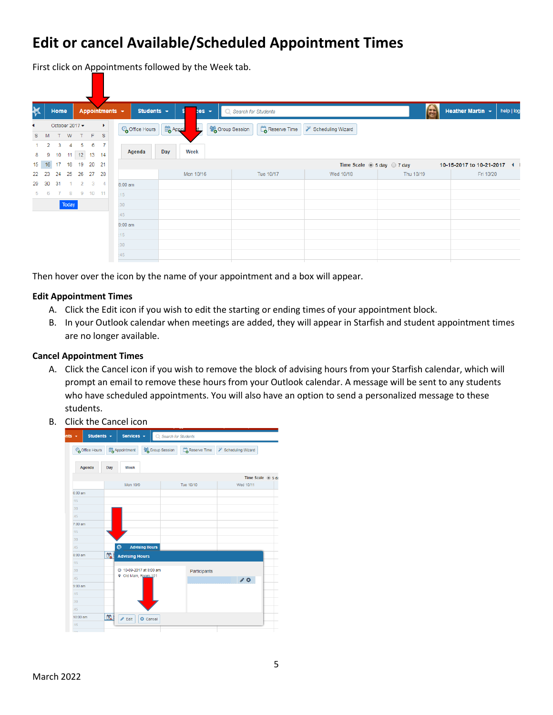# **Edit or cancel Available/Scheduled Appointment Times**

First click on Appointments followed by the Week tab.

| Ķ      |        | Home |                |                |          |                         | Appointments - | Students v    | s                     | tes +                      | C Search for Students                           |                   | $\left( \begin{array}{c} 1 \\ -1 \end{array} \right)$ | help   log<br>Heather Martin v |
|--------|--------|------|----------------|----------------|----------|-------------------------|----------------|---------------|-----------------------|----------------------------|-------------------------------------------------|-------------------|-------------------------------------------------------|--------------------------------|
|        |        |      | October 2017 - |                |          |                         |                | Coffice Hours | <b>B</b> Appoi<br>it. | <sup>2</sup> Group Session | $\mathbb{L}^{\text{max}}_{\Omega}$ Reserve Time | Scheduling Wizard |                                                       |                                |
| s<br>8 | M<br>9 | 10   | W.             | 5<br>$11 - 12$ | 6        | $F-S$<br>7<br>$13 - 14$ |                | Agenda        | Day<br>Week           |                            |                                                 |                   |                                                       |                                |
| 15 16  |        | 17   | 18             | 19             | 20 21    |                         |                |               |                       |                            |                                                 |                   | Time Scale $\circledcirc$ 5 day $\circledcirc$ 7 day  | 10-15-2017 to 10-21-2017 4     |
| 22     | -23    | 24   | 25             |                | 26 27 28 |                         |                |               | Mon 10/16             |                            | Tue 10/17                                       | Wed 10/18         | Thu 10/19                                             | Fri 10/20                      |
| 29     | 30     | 31   |                | $\overline{2}$ |          | $3 \quad 4$             |                | 8:00 am       |                       |                            |                                                 |                   |                                                       |                                |
|        | 6      |      | -8             | 9              |          | $10 - 11$               | :15            |               |                       |                            |                                                 |                   |                                                       |                                |
|        |        |      | Today          |                |          |                         | :30            |               |                       |                            |                                                 |                   |                                                       |                                |
|        |        |      |                |                |          |                         | :45            |               |                       |                            |                                                 |                   |                                                       |                                |
|        |        |      |                |                |          |                         |                | $9:00$ am     |                       |                            |                                                 |                   |                                                       |                                |
|        |        |      |                |                |          |                         | :15            |               |                       |                            |                                                 |                   |                                                       |                                |
|        |        |      |                |                |          |                         | :30            |               |                       |                            |                                                 |                   |                                                       |                                |
|        |        |      |                |                |          |                         | :45            |               |                       |                            |                                                 |                   |                                                       |                                |

Then hover over the icon by the name of your appointment and a box will appear.

#### **Edit Appointment Times**

- A. Click the Edit icon if you wish to edit the starting or ending times of your appointment block.
- B. In your Outlook calendar when meetings are added, they will appear in Starfish and student appointment times are no longer available.

#### **Cancel Appointment Times**

- A. Click the Cancel icon if you wish to remove the block of advising hours from your Starfish calendar, which will prompt an email to remove these hours from your Outlook calendar. A message will be sent to any students who have scheduled appointments. You will also have an option to send a personalized message to these students.
- B. Click the Cancel icon

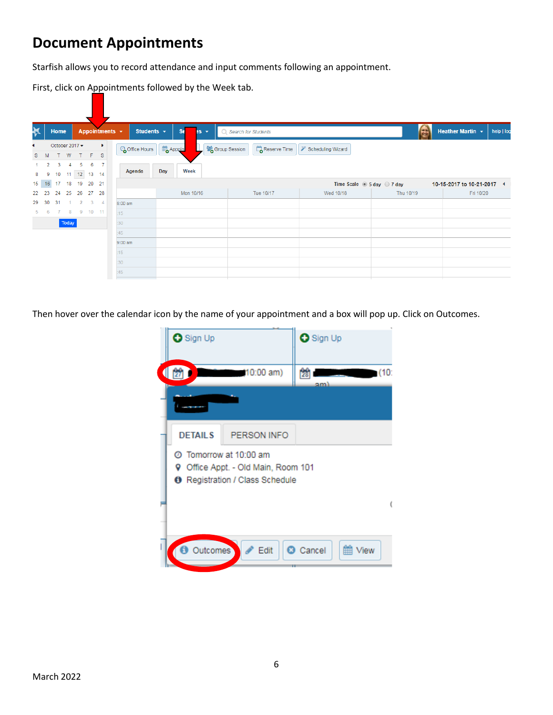### **Document Appointments**

Starfish allows you to record attendance and input comments following an appointment.

First, click on Appointments followed by the Week tab.

| Ķ  |    | Home |                |                          |       |                | Students -<br>Appointments - | Se<br><b>AS</b><br>$\overline{\phantom{a}}$ | C. Search for Students                                                                    |                   | $\left( \begin{array}{c} 1 \\ -1 \end{array} \right)$ | Heather Martin ~<br>help   log |
|----|----|------|----------------|--------------------------|-------|----------------|------------------------------|---------------------------------------------|-------------------------------------------------------------------------------------------|-------------------|-------------------------------------------------------|--------------------------------|
|    |    |      | October 2017 - |                          |       |                | Coffice Hours                | <b>B</b> Appoint<br>L                       | <sup>2</sup> Group Session<br>$\begin{bmatrix} 0 & 0 \\ 0 & 1 \end{bmatrix}$ Reserve Time | Scheduling Wizard |                                                       |                                |
| s. | M  |      | W              |                          | F.    | -S             |                              |                                             |                                                                                           |                   |                                                       |                                |
|    | 2  | з    | 4              | 5                        | 6     |                |                              |                                             |                                                                                           |                   |                                                       |                                |
| 8  |    | 10   | 11             | 12                       | 13 14 |                | Agenda                       | Day<br>Week                                 |                                                                                           |                   |                                                       |                                |
| 15 | 16 | 17   | 18             | 19                       | 20 21 |                |                              |                                             |                                                                                           |                   | Time Scale $\circledcirc$ 5 day $\circledcirc$ 7 day  | 10-15-2017 to 10-21-2017 4     |
| 22 | 23 | 24   | 25             | 26                       | 27 28 |                |                              | Mon 10/16                                   | Tue 10/17                                                                                 | Wed 10/18         | Thu 10/19                                             | Fri 10/20                      |
| 29 | 30 | 31   |                | $\overline{\phantom{a}}$ | 3     | $\overline{4}$ | 8:00 am                      |                                             |                                                                                           |                   |                                                       |                                |
| 5. |    |      | -8             | 9                        |       | $10 \t 11$     | :15                          |                                             |                                                                                           |                   |                                                       |                                |
|    |    |      | Today          |                          |       |                | :30                          |                                             |                                                                                           |                   |                                                       |                                |
|    |    |      |                |                          |       |                | :45                          |                                             |                                                                                           |                   |                                                       |                                |
|    |    |      |                |                          |       |                | $9:00$ am                    |                                             |                                                                                           |                   |                                                       |                                |
|    |    |      |                |                          |       |                | :15                          |                                             |                                                                                           |                   |                                                       |                                |
|    |    |      |                |                          |       |                | :30                          |                                             |                                                                                           |                   |                                                       |                                |
|    |    |      |                |                          |       |                |                              |                                             |                                                                                           |                   |                                                       |                                |
|    |    |      |                |                          |       |                | :45                          |                                             |                                                                                           |                   |                                                       |                                |

Then hover over the calendar icon by the name of your appointment and a box will pop up. Click on Outcomes.

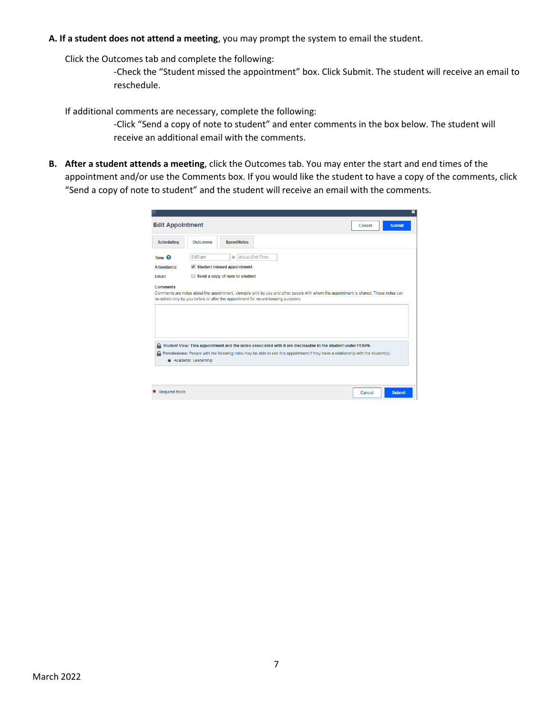#### **A. If a student does not attend a meeting**, you may prompt the system to email the student.

Click the Outcomes tab and complete the following:

-Check the "Student missed the appointment" box. Click Submit. The student will receive an email to reschedule.

If additional comments are necessary, complete the following:

-Click "Send a copy of note to student" and enter comments in the box below. The student will receive an additional email with the comments.

**B. After a student attends a meeting**, click the Outcomes tab. You may enter the start and end times of the appointment and/or use the Comments box. If you would like the student to have a copy of the comments, click "Send a copy of note to student" and the student will receive an email with the comments.

|                            |                       |                                                                                                                                                                                                                                                  |  |  |        | ×             |
|----------------------------|-----------------------|--------------------------------------------------------------------------------------------------------------------------------------------------------------------------------------------------------------------------------------------------|--|--|--------|---------------|
| <b>Edit Appointment</b>    |                       |                                                                                                                                                                                                                                                  |  |  | Cancel | <b>Submit</b> |
| <b>Scheduling</b>          | <b>Outcomes</b>       | <b>SpeedNotes</b>                                                                                                                                                                                                                                |  |  |        |               |
| Time $\boldsymbol{\Omega}$ | 8:00 am               | <b>Actual End Time</b><br>to                                                                                                                                                                                                                     |  |  |        |               |
| <b>Attendance</b>          |                       | Student missed appointment                                                                                                                                                                                                                       |  |  |        |               |
| <b>Email</b>               |                       | Send a copy of note to student                                                                                                                                                                                                                   |  |  |        |               |
|                            |                       | Comments are notes about the appointment, viewable only by you and other people with whom the appointment is shared. These notes can<br>be edited only by you before or after the appointment for record-keeping purposes.                       |  |  |        |               |
|                            | • Academic Leadership | Student View: This appointment and the notes associated with it are disclosable to the student under FERPA.<br>Permissions: People with the following roles may be able to see this appointment if they have a relationship with the student(s): |  |  |        |               |
| <b>Required fields</b>     |                       |                                                                                                                                                                                                                                                  |  |  |        |               |
|                            |                       |                                                                                                                                                                                                                                                  |  |  | Cancel | <b>Submit</b> |